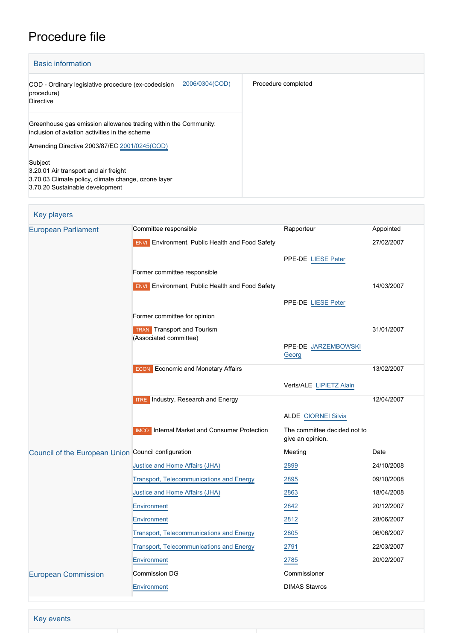# Procedure file

| <b>Basic information</b>                                                                                          |                     |
|-------------------------------------------------------------------------------------------------------------------|---------------------|
| 2006/0304(COD)<br>COD - Ordinary legislative procedure (ex-codecision<br>procedure)<br><b>Directive</b>           | Procedure completed |
| Greenhouse gas emission allowance trading within the Community:<br>inclusion of aviation activities in the scheme |                     |
| Amending Directive 2003/87/EC 2001/0245(COD)                                                                      |                     |
| Subject                                                                                                           |                     |
| 3.20.01 Air transport and air freight                                                                             |                     |
| 3.70.03 Climate policy, climate change, ozone layer                                                               |                     |
| 3.70.20 Sustainable development                                                                                   |                     |

| <b>Key players</b>                                  |                                                        |                                                  |            |
|-----------------------------------------------------|--------------------------------------------------------|--------------------------------------------------|------------|
| <b>European Parliament</b>                          | Committee responsible                                  | Rapporteur                                       | Appointed  |
|                                                     | <b>ENVI</b> Environment, Public Health and Food Safety |                                                  | 27/02/2007 |
|                                                     |                                                        | PPE-DE LIESE Peter                               |            |
|                                                     | Former committee responsible                           |                                                  |            |
|                                                     | <b>ENVI</b> Environment, Public Health and Food Safety |                                                  | 14/03/2007 |
|                                                     |                                                        | PPE-DE LIESE Peter                               |            |
|                                                     | Former committee for opinion                           |                                                  |            |
|                                                     | <b>TRAN</b> Transport and Tourism                      |                                                  | 31/01/2007 |
|                                                     | (Associated committee)                                 | PPE-DE JARZEMBOWSKI                              |            |
|                                                     |                                                        | Georg                                            |            |
|                                                     | <b>ECON</b> Economic and Monetary Affairs              |                                                  | 13/02/2007 |
|                                                     |                                                        | Verts/ALE LIPIETZ Alain                          |            |
|                                                     | <b>ITRE</b> Industry, Research and Energy              |                                                  | 12/04/2007 |
|                                                     |                                                        | <b>ALDE CIORNEI Silvia</b>                       |            |
|                                                     | <b>IMCO</b> Internal Market and Consumer Protection    | The committee decided not to<br>give an opinion. |            |
| Council of the European Union Council configuration |                                                        | Meeting                                          | Date       |
|                                                     | Justice and Home Affairs (JHA)                         | 2899                                             | 24/10/2008 |
|                                                     | <b>Transport, Telecommunications and Energy</b>        | 2895                                             | 09/10/2008 |
|                                                     | Justice and Home Affairs (JHA)                         | 2863                                             | 18/04/2008 |
|                                                     | <b>Environment</b>                                     | 2842                                             | 20/12/2007 |
|                                                     | Environment                                            | 2812                                             | 28/06/2007 |
|                                                     | Transport, Telecommunications and Energy               | 2805                                             | 06/06/2007 |
|                                                     | <b>Transport, Telecommunications and Energy</b>        | 2791                                             | 22/03/2007 |
|                                                     | Environment                                            | 2785                                             | 20/02/2007 |
| <b>European Commission</b>                          | <b>Commission DG</b>                                   | Commissioner                                     |            |
|                                                     | Environment                                            | <b>DIMAS Stavros</b>                             |            |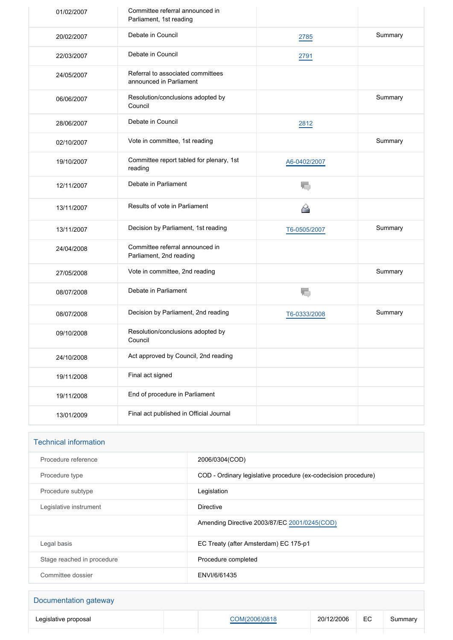| 01/02/2007 | Committee referral announced in<br>Parliament, 1st reading   |              |         |
|------------|--------------------------------------------------------------|--------------|---------|
| 20/02/2007 | Debate in Council                                            | 2785         | Summary |
| 22/03/2007 | Debate in Council                                            | 2791         |         |
| 24/05/2007 | Referral to associated committees<br>announced in Parliament |              |         |
| 06/06/2007 | Resolution/conclusions adopted by<br>Council                 |              | Summary |
| 28/06/2007 | Debate in Council                                            | 2812         |         |
| 02/10/2007 | Vote in committee, 1st reading                               |              | Summary |
| 19/10/2007 | Committee report tabled for plenary, 1st<br>reading          | A6-0402/2007 |         |
| 12/11/2007 | Debate in Parliament                                         | ۱.           |         |
| 13/11/2007 | Results of vote in Parliament                                | ⇔            |         |
| 13/11/2007 | Decision by Parliament, 1st reading                          | T6-0505/2007 | Summary |
| 24/04/2008 | Committee referral announced in<br>Parliament, 2nd reading   |              |         |
| 27/05/2008 | Vote in committee, 2nd reading                               |              | Summary |
| 08/07/2008 | Debate in Parliament                                         | T,           |         |
| 08/07/2008 | Decision by Parliament, 2nd reading                          | T6-0333/2008 | Summary |
| 09/10/2008 | Resolution/conclusions adopted by<br>Council                 |              |         |
| 24/10/2008 | Act approved by Council, 2nd reading                         |              |         |
| 19/11/2008 | Final act signed                                             |              |         |
| 19/11/2008 | End of procedure in Parliament                               |              |         |
| 13/01/2009 | Final act published in Official Journal                      |              |         |

| <b>Technical information</b> |                                                                |
|------------------------------|----------------------------------------------------------------|
| Procedure reference          | 2006/0304(COD)                                                 |
| Procedure type               | COD - Ordinary legislative procedure (ex-codecision procedure) |
| Procedure subtype            | Legislation                                                    |
| Legislative instrument       | Directive                                                      |
|                              | Amending Directive 2003/87/EC 2001/0245(COD)                   |
| Legal basis                  | EC Treaty (after Amsterdam) EC 175-p1                          |
| Stage reached in procedure   | Procedure completed                                            |
| Committee dossier            | ENVI/6/61435                                                   |

| Documentation gateway |               |            |    |         |
|-----------------------|---------------|------------|----|---------|
| Legislative proposal  | COM(2006)0818 | 20/12/2006 | EC | Summary |
|                       |               |            |    |         |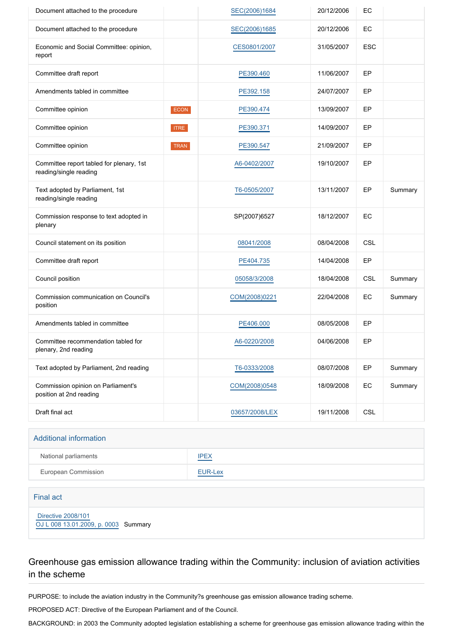| Document attached to the procedure                                 |             | SEC(2006)1684  | 20/12/2006 | EC         |         |
|--------------------------------------------------------------------|-------------|----------------|------------|------------|---------|
| Document attached to the procedure                                 |             | SEC(2006)1685  | 20/12/2006 | EC         |         |
| Economic and Social Committee: opinion,<br>report                  |             | CES0801/2007   | 31/05/2007 | <b>ESC</b> |         |
| Committee draft report                                             |             | PE390.460      | 11/06/2007 | EP         |         |
| Amendments tabled in committee                                     |             | PE392.158      | 24/07/2007 | EP         |         |
| Committee opinion                                                  | <b>ECON</b> | PE390.474      | 13/09/2007 | EP         |         |
| Committee opinion                                                  | <b>ITRE</b> | PE390.371      | 14/09/2007 | EP         |         |
| Committee opinion                                                  | <b>TRAN</b> | PE390.547      | 21/09/2007 | EP         |         |
| Committee report tabled for plenary, 1st<br>reading/single reading |             | A6-0402/2007   | 19/10/2007 | EP         |         |
| Text adopted by Parliament, 1st<br>reading/single reading          |             | T6-0505/2007   | 13/11/2007 | EP         | Summary |
| Commission response to text adopted in<br>plenary                  |             | SP(2007)6527   | 18/12/2007 | EC         |         |
| Council statement on its position                                  |             | 08041/2008     | 08/04/2008 | CSL        |         |
| Committee draft report                                             |             | PE404.735      | 14/04/2008 | EP         |         |
| Council position                                                   |             | 05058/3/2008   | 18/04/2008 | <b>CSL</b> | Summary |
| Commission communication on Council's<br>position                  |             | COM(2008)0221  | 22/04/2008 | EC         | Summary |
| Amendments tabled in committee                                     |             | PE406.000      | 08/05/2008 | EP         |         |
| Committee recommendation tabled for<br>plenary, 2nd reading        |             | A6-0220/2008   | 04/06/2008 | EP         |         |
| Text adopted by Parliament, 2nd reading                            |             | T6-0333/2008   | 08/07/2008 | EP         | Summary |
| Commission opinion on Parliament's<br>position at 2nd reading      |             | COM(2008)0548  | 18/09/2008 | EC         | Summary |
| Draft final act                                                    |             | 03657/2008/LEX | 19/11/2008 | <b>CSL</b> |         |

| <b>Additional information</b> |             |
|-------------------------------|-------------|
| National parliaments          | <b>IPEX</b> |
| European Commission           | EUR-Lex     |

#### Final act

 [Directive 2008/101](https://eur-lex.europa.eu/smartapi/cgi/sga_doc?smartapi!celexplus!prod!CELEXnumdoc&lg=EN&numdoc=32008L0101) [OJ L 008 13.01.2009, p. 0003](https://eur-lex.europa.eu/legal-content/EN/TXT/?uri=OJ:L:2009:008:TOC) Summary

# Greenhouse gas emission allowance trading within the Community: inclusion of aviation activities in the scheme

PURPOSE: to include the aviation industry in the Community?s greenhouse gas emission allowance trading scheme.

PROPOSED ACT: Directive of the European Parliament and of the Council.

BACKGROUND: in 2003 the Community adopted legislation establishing a scheme for greenhouse gas emission allowance trading within the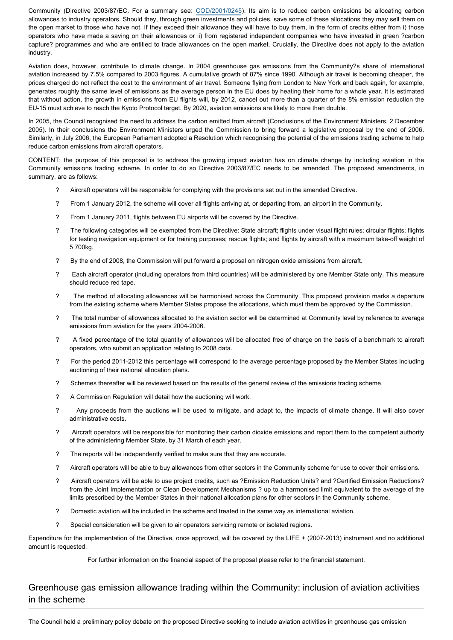Community (Directive 2003/87/EC. For a summary see: [COD/2001/0245](http://www.europarl.europa.eu/oeil/FindByProcnum.do?lang=en&procnum=COD/2001/0245)). Its aim is to reduce carbon emissions be allocating carbon allowances to industry operators. Should they, through green investments and policies, save some of these allocations they may sell them on the open market to those who have not. If they exceed their allowance they will have to buy them, in the form of credits either from i) those operators who have made a saving on their allowances or ii) from registered independent companies who have invested in green ?carbon capture? programmes and who are entitled to trade allowances on the open market. Crucially, the Directive does not apply to the aviation industry.

Aviation does, however, contribute to climate change. In 2004 greenhouse gas emissions from the Community?s share of international aviation increased by 7.5% compared to 2003 figures. A cumulative growth of 87% since 1990. Although air travel is becoming cheaper, the prices charged do not reflect the cost to the environment of air travel. Someone flying from London to New York and back again, for example, generates roughly the same level of emissions as the average person in the EU does by heating their home for a whole year. It is estimated that without action, the growth in emissions from EU flights will, by 2012, cancel out more than a quarter of the 8% emission reduction the EU-15 must achieve to reach the Kyoto Protocol target. By 2020, aviation emissions are likely to more than double.

In 2005, the Council recognised the need to address the carbon emitted from aircraft (Conclusions of the Environment Ministers, 2 December 2005). In their conclusions the Environment Ministers urged the Commission to bring forward a legislative proposal by the end of 2006. Similarly, in July 2006, the European Parliament adopted a Resolution which recognising the potential of the emissions trading scheme to help reduce carbon emissions from aircraft operators.

CONTENT: the purpose of this proposal is to address the growing impact aviation has on climate change by including aviation in the Community emissions trading scheme. In order to do so Directive 2003/87/EC needs to be amended. The proposed amendments, in summary, are as follows:

- ? Aircraft operators will be responsible for complying with the provisions set out in the amended Directive.
- ? From 1 January 2012, the scheme will cover all flights arriving at, or departing from, an airport in the Community.
- ? From 1 January 2011, flights between EU airports will be covered by the Directive.
- ? The following categories will be exempted from the Directive: State aircraft; flights under visual flight rules; circular flights; flights for testing navigation equipment or for training purposes; rescue flights; and flights by aircraft with a maximum take-off weight of 5 700kg.
- ? By the end of 2008, the Commission will put forward a proposal on nitrogen oxide emissions from aircraft.
- ? Each aircraft operator (including operators from third countries) will be administered by one Member State only. This measure should reduce red tape.
- ? The method of allocating allowances will be harmonised across the Community. This proposed provision marks a departure from the existing scheme where Member States propose the allocations, which must them be approved by the Commission.
- ? The total number of allowances allocated to the aviation sector will be determined at Community level by reference to average emissions from aviation for the years 2004-2006.
- ? A fixed percentage of the total quantity of allowances will be allocated free of charge on the basis of a benchmark to aircraft operators, who submit an application relating to 2008 data.
- ? For the period 2011-2012 this percentage will correspond to the average percentage proposed by the Member States including auctioning of their national allocation plans.
- ? Schemes thereafter will be reviewed based on the results of the general review of the emissions trading scheme.
- ? A Commission Regulation will detail how the auctioning will work.
- ? Any proceeds from the auctions will be used to mitigate, and adapt to, the impacts of climate change. It will also cover administrative costs.
- ? Aircraft operators will be responsible for monitoring their carbon dioxide emissions and report them to the competent authority of the administering Member State, by 31 March of each year.
- ? The reports will be independently verified to make sure that they are accurate.
- ? Aircraft operators will be able to buy allowances from other sectors in the Community scheme for use to cover their emissions.
- ? Aircraft operators will be able to use project credits, such as ?Emission Reduction Units? and ?Certified Emission Reductions? from the Joint Implementation or Clean Development Mechanisms ? up to a harmonised limit equivalent to the average of the limits prescribed by the Member States in their national allocation plans for other sectors in the Community scheme.
- ? Domestic aviation will be included in the scheme and treated in the same way as international aviation.
- ? Special consideration will be given to air operators servicing remote or isolated regions.

Expenditure for the implementation of the Directive, once approved, will be covered by the LIFE + (2007-2013) instrument and no additional amount is requested.

For further information on the financial aspect of the proposal please refer to the financial statement.

## Greenhouse gas emission allowance trading within the Community: inclusion of aviation activities in the scheme

The Council held a preliminary policy debate on the proposed Directive seeking to include aviation activities in greenhouse gas emission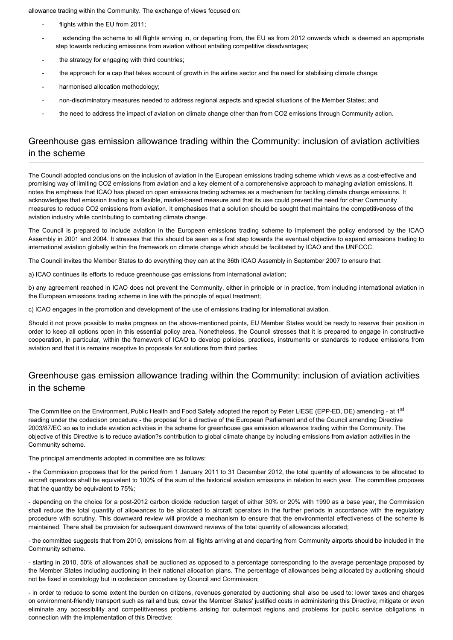allowance trading within the Community. The exchange of views focused on:

- flights within the EU from 2011;
- extending the scheme to all flights arriving in, or departing from, the EU as from 2012 onwards which is deemed an appropriate step towards reducing emissions from aviation without entailing competitive disadvantages;
- the strategy for engaging with third countries;
- the approach for a cap that takes account of growth in the airline sector and the need for stabilising climate change;
- harmonised allocation methodology;
- non-discriminatory measures needed to address regional aspects and special situations of the Member States; and
- the need to address the impact of aviation on climate change other than from CO2 emissions through Community action.

# Greenhouse gas emission allowance trading within the Community: inclusion of aviation activities in the scheme

The Council adopted conclusions on the inclusion of aviation in the European emissions trading scheme which views as a cost-effective and promising way of limiting CO2 emissions from aviation and a key element of a comprehensive approach to managing aviation emissions. It notes the emphasis that ICAO has placed on open emissions trading schemes as a mechanism for tackling climate change emissions. It acknowledges that emission trading is a flexible, market-based measure and that its use could prevent the need for other Community measures to reduce CO2 emissions from aviation. It emphasises that a solution should be sought that maintains the competitiveness of the aviation industry while contributing to combating climate change.

The Council is prepared to include aviation in the European emissions trading scheme to implement the policy endorsed by the ICAO Assembly in 2001 and 2004. It stresses that this should be seen as a first step towards the eventual objective to expand emissions trading to international aviation globally within the framework on climate change which should be facilitated by ICAO and the UNFCCC.

The Council invites the Member States to do everything they can at the 36th ICAO Assembly in September 2007 to ensure that:

a) ICAO continues its efforts to reduce greenhouse gas emissions from international aviation;

b) any agreement reached in ICAO does not prevent the Community, either in principle or in practice, from including international aviation in the European emissions trading scheme in line with the principle of equal treatment;

c) ICAO engages in the promotion and development of the use of emissions trading for international aviation.

Should it not prove possible to make progress on the above-mentioned points, EU Member States would be ready to reserve their position in order to keep all options open in this essential policy area. Nonetheless, the Council stresses that it is prepared to engage in constructive cooperation, in particular, within the framework of ICAO to develop policies, practices, instruments or standards to reduce emissions from aviation and that it is remains receptive to proposals for solutions from third parties.

### Greenhouse gas emission allowance trading within the Community: inclusion of aviation activities in the scheme

The Committee on the Environment, Public Health and Food Safety adopted the report by Peter LIESE (EPP-ED, DE) amending - at 1<sup>st</sup> reading under the codecison procedure - the proposal for a directive of the European Parliament and of the Council amending Directive 2003/87/EC so as to include aviation activities in the scheme for greenhouse gas emission allowance trading within the Community. The objective of this Directive is to reduce aviation?s contribution to global climate change by including emissions from aviation activities in the Community scheme.

The principal amendments adopted in committee are as follows:

- the Commission proposes that for the period from 1 January 2011 to 31 December 2012, the total quantity of allowances to be allocated to aircraft operators shall be equivalent to 100% of the sum of the historical aviation emissions in relation to each year. The committee proposes that the quantity be equivalent to 75%;

- depending on the choice for a post-2012 carbon dioxide reduction target of either 30% or 20% with 1990 as a base year, the Commission shall reduce the total quantity of allowances to be allocated to aircraft operators in the further periods in accordance with the regulatory procedure with scrutiny. This downward review will provide a mechanism to ensure that the environmental effectiveness of the scheme is maintained. There shall be provision for subsequent downward reviews of the total quantity of allowances allocated;

- the committee suggests that from 2010, emissions from all flights arriving at and departing from Community airports should be included in the Community scheme.

- starting in 2010, 50% of allowances shall be auctioned as opposed to a percentage corresponding to the average percentage proposed by the Member States including auctioning in their national allocation plans. The percentage of allowances being allocated by auctioning should not be fixed in comitology but in codecision procedure by Council and Commission;

- in order to reduce to some extent the burden on citizens, revenues generated by auctioning shall also be used to: lower taxes and charges on environment-friendly transport such as rail and bus; cover the Member States' justified costs in administering this Directive; mitigate or even eliminate any accessibility and competitiveness problems arising for outermost regions and problems for public service obligations in connection with the implementation of this Directive;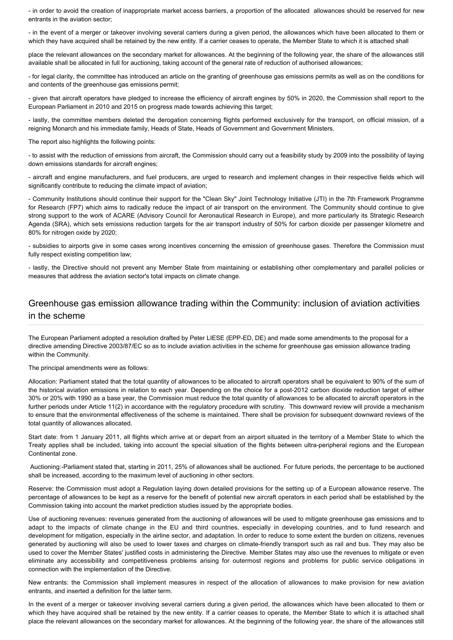- in order to avoid the creation of inappropriate market access barriers, a proportion of the allocated allowances should be reserved for new entrants in the aviation sector;

- in the event of a merger or takeover involving several carriers during a given period, the allowances which have been allocated to them or which they have acquired shall be retained by the new entity. If a carrier ceases to operate, the Member State to which it is attached shall

place the relevant allowances on the secondary market for allowances. At the beginning of the following year, the share of the allowances still available shall be allocated in full for auctioning, taking account of the general rate of reduction of authorised allowances;

- for legal clarity, the committee has introduced an article on the granting of greenhouse gas emissions permits as well as on the conditions for and contents of the greenhouse gas emissions permit;

- given that aircraft operators have pledged to increase the efficiency of aircraft engines by 50% in 2020, the Commission shall report to the European Parliament in 2010 and 2015 on progress made towards achieving this target;

- lastly, the committee members deleted the derogation concerning flights performed exclusively for the transport, on official mission, of a reigning Monarch and his immediate family, Heads of State, Heads of Government and Government Ministers.

The report also highlights the following points:

- to assist with the reduction of emissions from aircraft, the Commission should carry out a feasibility study by 2009 into the possibility of laying down emissions standards for aircraft engines;

- aircraft and engine manufacturers, and fuel producers, are urged to research and implement changes in their respective fields which will significantly contribute to reducing the climate impact of aviation;

- Community Institutions should continue their support for the "Clean Sky" Joint Technology Initiative (JTI) in the 7th Framework Programme for Research (FP7) which aims to radically reduce the impact of air transport on the environment. The Community should continue to give strong support to the work of ACARE (Advisory Council for Aeronautical Research in Europe), and more particularly its Strategic Research Agenda (SRA), which sets emissions reduction targets for the air transport industry of 50% for carbon dioxide per passenger kilometre and 80% for nitrogen oxide by 2020;

- subsidies to airports give in some cases wrong incentives concerning the emission of greenhouse gases. Therefore the Commission must fully respect existing competition law;

- lastly, the Directive should not prevent any Member State from maintaining or establishing other complementary and parallel policies or measures that address the aviation sector's total impacts on climate change.

# Greenhouse gas emission allowance trading within the Community: inclusion of aviation activities in the scheme

The European Parliament adopted a resolution drafted by Peter LIESE (EPP-ED, DE) and made some amendments to the proposal for a directive amending Directive 2003/87/EC so as to include aviation activities in the scheme for greenhouse gas emission allowance trading within the Community.

The principal amendments were as follows:

Allocation: Parliament stated that the total quantity of allowances to be allocated to aircraft operators shall be equivalent to 90% of the sum of the historical aviation emissions in relation to each year. Depending on the choice for a post-2012 carbon dioxide reduction target of either 30% or 20% with 1990 as a base year, the Commission must reduce the total quantity of allowances to be allocated to aircraft operators in the further periods under Article 11(2) in accordance with the regulatory procedure with scrutiny. This downward review will provide a mechanism to ensure that the environmental effectiveness of the scheme is maintained. There shall be provision for subsequent downward reviews of the total quantity of allowances allocated.

Start date: from 1 January 2011, all flights which arrive at or depart from an airport situated in the territory of a Member State to which the Treaty applies shall be included, taking into account the special situation of the flights between ultra-peripheral regions and the European Continental zone.

 Auctioning:-Parliament stated that, starting in 2011, 25% of allowances shall be auctioned. For future periods, the percentage to be auctioned shall be increased, according to the maximum level of auctioning in other sectors.

Reserve: the Commission must adopt a Regulation laying down detailed provisions for the setting up of a European allowance reserve. The percentage of allowances to be kept as a reserve for the benefit of potential new aircraft operators in each period shall be established by the Commission taking into account the market prediction studies issued by the appropriate bodies.

Use of auctioning revenues: revenues generated from the auctioning of allowances will be used to mitigate greenhouse gas emissions and to adapt to the impacts of climate change in the EU and third countries, especially in developing countries, and to fund research and development for mitigation, especially in the airline sector, and adaptation. In order to reduce to some extent the burden on citizens, revenues generated by auctioning will also be used to lower taxes and charges on climate-friendly transport such as rail and bus. They may also be used to cover the Member States' justified costs in administering the Directive. Member States may also use the revenues to mitigate or even eliminate any accessibility and competitiveness problems arising for outermost regions and problems for public service obligations in connection with the implementation of the Directive.

New entrants: the Commission shall implement measures in respect of the allocation of allowances to make provision for new aviation entrants, and inserted a definition for the latter term.

In the event of a merger or takeover involving several carriers during a given period, the allowances which have been allocated to them or which they have acquired shall be retained by the new entity. If a carrier ceases to operate, the Member State to which it is attached shall place the relevant allowances on the secondary market for allowances. At the beginning of the following year, the share of the allowances still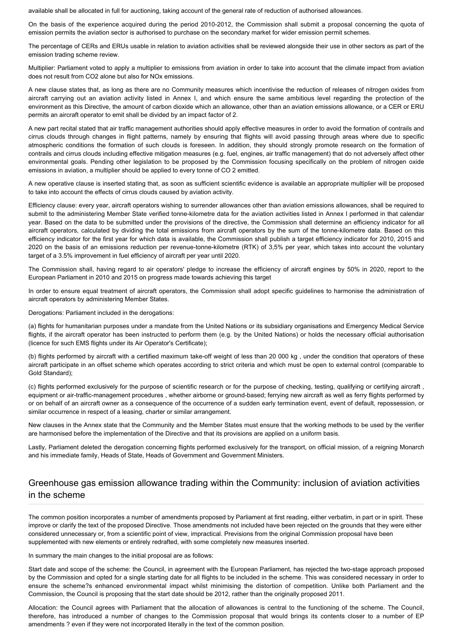available shall be allocated in full for auctioning, taking account of the general rate of reduction of authorised allowances.

On the basis of the experience acquired during the period 2010-2012, the Commission shall submit a proposal concerning the quota of emission permits the aviation sector is authorised to purchase on the secondary market for wider emission permit schemes.

The percentage of CERs and ERUs usable in relation to aviation activities shall be reviewed alongside their use in other sectors as part of the emission trading scheme review.

Multiplier: Parliament voted to apply a multiplier to emissions from aviation in order to take into account that the climate impact from aviation does not result from CO2 alone but also for NOx emissions.

A new clause states that, as long as there are no Community measures which incentivise the reduction of releases of nitrogen oxides from aircraft carrying out an aviation activity listed in Annex I, and which ensure the same ambitious level regarding the protection of the environment as this Directive, the amount of carbon dioxide which an allowance, other than an aviation emissions allowance, or a CER or ERU permits an aircraft operator to emit shall be divided by an impact factor of 2.

A new part recital stated that air traffic management authorities should apply effective measures in order to avoid the formation of contrails and cirrus clouds through changes in flight patterns, namely by ensuring that flights will avoid passing through areas where due to specific atmospheric conditions the formation of such clouds is foreseen. In addition, they should strongly promote research on the formation of contrails and cirrus clouds including effective mitigation measures (e.g. fuel, engines, air traffic management) that do not adversely affect other environmental goals. Pending other legislation to be proposed by the Commission focusing specifically on the problem of nitrogen oxide emissions in aviation, a multiplier should be applied to every tonne of CO 2 emitted.

A new operative clause is inserted stating that, as soon as sufficient scientific evidence is available an appropriate multiplier will be proposed to take into account the effects of cirrus clouds caused by aviation activity.

Efficiency clause: every year, aircraft operators wishing to surrender allowances other than aviation emissions allowances, shall be required to submit to the administering Member State verified tonne-kilometre data for the aviation activities listed in Annex I performed in that calendar year. Based on the data to be submitted under the provisions of the directive, the Commission shall determine an efficiency indicator for all aircraft operators, calculated by dividing the total emissions from aircraft operators by the sum of the tonne-kilometre data. Based on this efficiency indicator for the first year for which data is available, the Commission shall publish a target efficiency indicator for 2010, 2015 and 2020 on the basis of an emissions reduction per revenue-tonne-kilometre (RTK) of 3,5% per year, which takes into account the voluntary target of a 3.5% improvement in fuel efficiency of aircraft per year until 2020.

The Commission shall, having regard to air operators' pledge to increase the efficiency of aircraft engines by 50% in 2020, report to the European Parliament in 2010 and 2015 on progress made towards achieving this target

In order to ensure equal treatment of aircraft operators, the Commission shall adopt specific guidelines to harmonise the administration of aircraft operators by administering Member States.

Derogations: Parliament included in the derogations:

(a) flights for humanitarian purposes under a mandate from the United Nations or its subsidiary organisations and Emergency Medical Service flights, if the aircraft operator has been instructed to perform them (e.g. by the United Nations) or holds the necessary official authorisation (licence for such EMS flights under its Air Operator's Certificate);

(b) flights performed by aircraft with a certified maximum take-off weight of less than 20 000 kg , under the condition that operators of these aircraft participate in an offset scheme which operates according to strict criteria and which must be open to external control (comparable to Gold Standard);

(c) flights performed exclusively for the purpose of scientific research or for the purpose of checking, testing, qualifying or certifying aircraft , equipment or air-traffic-management procedures , whether airborne or ground-based; ferrying new aircraft as well as ferry flights performed by or on behalf of an aircraft owner as a consequence of the occurrence of a sudden early termination event, event of default, repossession, or similar occurrence in respect of a leasing, charter or similar arrangement.

New clauses in the Annex state that the Community and the Member States must ensure that the working methods to be used by the verifier are harmonised before the implementation of the Directive and that its provisions are applied on a uniform basis.

Lastly, Parliament deleted the derogation concerning flights performed exclusively for the transport, on official mission, of a reigning Monarch and his immediate family, Heads of State, Heads of Government and Government Ministers.

# Greenhouse gas emission allowance trading within the Community: inclusion of aviation activities in the scheme

The common position incorporates a number of amendments proposed by Parliament at first reading, either verbatim, in part or in spirit. These improve or clarify the text of the proposed Directive. Those amendments not included have been rejected on the grounds that they were either considered unnecessary or, from a scientific point of view, impractical. Previsions from the original Commission proposal have been supplemented with new elements or entirely redrafted, with some completely new measures inserted.

In summary the main changes to the initial proposal are as follows:

Start date and scope of the scheme: the Council, in agreement with the European Parliament, has rejected the two-stage approach proposed by the Commission and opted for a single starting date for all flights to be included in the scheme. This was considered necessary in order to ensure the scheme?s enhanced environmental impact whilst minimising the distortion of competition. Unlike both Parliament and the Commission, the Council is proposing that the start date should be 2012, rather than the originally proposed 2011.

Allocation: the Council agrees with Parliament that the allocation of allowances is central to the functioning of the scheme. The Council, therefore, has introduced a number of changes to the Commission proposal that would brings its contents closer to a number of EP amendments ? even if they were not incorporated literally in the text of the common position.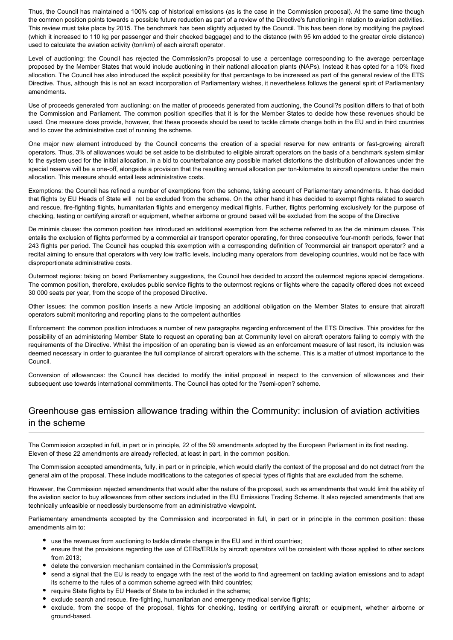Thus, the Council has maintained a 100% cap of historical emissions (as is the case in the Commission proposal). At the same time though the common position points towards a possible future reduction as part of a review of the Directive's functioning in relation to aviation activities. This review must take place by 2015. The benchmark has been slightly adjusted by the Council. This has been done by modifying the payload (which it increased to 110 kg per passenger and their checked baggage) and to the distance (with 95 km added to the greater circle distance) used to calculate the aviation activity (ton/km) of each aircraft operator.

Level of auctioning: the Council has rejected the Commission?s proposal to use a percentage corresponding to the average percentage proposed by the Member States that would include auctioning in their national allocation plants (NAPs). Instead it has opted for a 10% fixed allocation. The Council has also introduced the explicit possibility for that percentage to be increased as part of the general review of the ETS Directive. Thus, although this is not an exact incorporation of Parliamentary wishes, it nevertheless follows the general spirit of Parliamentary amendments.

Use of proceeds generated from auctioning: on the matter of proceeds generated from auctioning, the Council?s position differs to that of both the Commission and Parliament. The common position specifies that it is for the Member States to decide how these revenues should be used. One measure does provide, however, that these proceeds should be used to tackle climate change both in the EU and in third countries and to cover the administrative cost of running the scheme.

One major new element introduced by the Council concerns the creation of a special reserve for new entrants or fast-growing aircraft operators. Thus, 3% of allowances would be set aside to be distributed to eligible aircraft operators on the basis of a benchmark system similar to the system used for the initial allocation. In a bid to counterbalance any possible market distortions the distribution of allowances under the special reserve will be a one-off, alongside a provision that the resulting annual allocation per ton-kilometre to aircraft operators under the main allocation. This measure should entail less administrative costs.

Exemptions: the Council has refined a number of exemptions from the scheme, taking account of Parliamentary amendments. It has decided that flights by EU Heads of State will not be excluded from the scheme. On the other hand it has decided to exempt flights related to search and rescue, fire-fighting flights, humanitarian flights and emergency medical flights. Further, flights performing exclusively for the purpose of checking, testing or certifying aircraft or equipment, whether airborne or ground based will be excluded from the scope of the Directive

De minimis clause: the common position has introduced an additional exemption from the scheme referred to as the de minimum clause. This entails the exclusion of flights performed by a commercial air transport operator operating, for three consecutive four-month periods, fewer that 243 flights per period. The Council has coupled this exemption with a corresponding definition of ?commercial air transport operator? and a recital aiming to ensure that operators with very low traffic levels, including many operators from developing countries, would not be face with disproportionate administrative costs.

Outermost regions: taking on board Parliamentary suggestions, the Council has decided to accord the outermost regions special derogations. The common position, therefore, excludes public service flights to the outermost regions or flights where the capacity offered does not exceed 30 000 seats per year, from the scope of the proposed Directive.

Other issues: the common position inserts a new Article imposing an additional obligation on the Member States to ensure that aircraft operators submit monitoring and reporting plans to the competent authorities

Enforcement: the common position introduces a number of new paragraphs regarding enforcement of the ETS Directive. This provides for the possibility of an administering Member State to request an operating ban at Community level on aircraft operators failing to comply with the requirements of the Directive. Whilst the imposition of an operating ban is viewed as an enforcement measure of last resort, its inclusion was deemed necessary in order to guarantee the full compliance of aircraft operators with the scheme. This is a matter of utmost importance to the Council.

Conversion of allowances: the Council has decided to modify the initial proposal in respect to the conversion of allowances and their subsequent use towards international commitments. The Council has opted for the ?semi-open? scheme.

#### Greenhouse gas emission allowance trading within the Community: inclusion of aviation activities in the scheme

The Commission accepted in full, in part or in principle, 22 of the 59 amendments adopted by the European Parliament in its first reading. Eleven of these 22 amendments are already reflected, at least in part, in the common position.

The Commission accepted amendments, fully, in part or in principle, which would clarify the context of the proposal and do not detract from the general aim of the proposal. These include modifications to the categories of special types of flights that are excluded from the scheme.

However, the Commission rejected amendments that would alter the nature of the proposal, such as amendments that would limit the ability of the aviation sector to buy allowances from other sectors included in the EU Emissions Trading Scheme. It also rejected amendments that are technically unfeasible or needlessly burdensome from an administrative viewpoint.

Parliamentary amendments accepted by the Commission and incorporated in full, in part or in principle in the common position: these amendments aim to:

- use the revenues from auctioning to tackle climate change in the EU and in third countries;
- ensure that the provisions regarding the use of CERs/ERUs by aircraft operators will be consistent with those applied to other sectors from 2013;
- delete the conversion mechanism contained in the Commission's proposal;
- send a signal that the EU is ready to engage with the rest of the world to find agreement on tackling aviation emissions and to adapt its scheme to the rules of a common scheme agreed with third countries;
- require State flights by EU Heads of State to be included in the scheme;
- exclude search and rescue, fire-fighting, humanitarian and emergency medical service flights;
- exclude, from the scope of the proposal, flights for checking, testing or certifying aircraft or equipment, whether airborne or ground-based.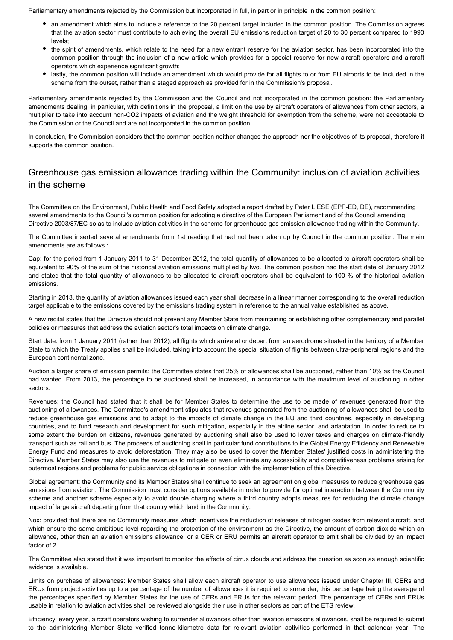Parliamentary amendments rejected by the Commission but incorporated in full, in part or in principle in the common position:

- an amendment which aims to include a reference to the 20 percent target included in the common position. The Commission agrees that the aviation sector must contribute to achieving the overall EU emissions reduction target of 20 to 30 percent compared to 1990 levels;
- the spirit of amendments, which relate to the need for a new entrant reserve for the aviation sector, has been incorporated into the common position through the inclusion of a new article which provides for a special reserve for new aircraft operators and aircraft operators which experience significant growth;
- lastly, the common position will include an amendment which would provide for all flights to or from EU airports to be included in the scheme from the outset, rather than a staged approach as provided for in the Commission's proposal.

Parliamentary amendments rejected by the Commission and the Council and not incorporated in the common position: the Parliamentary amendments dealing, in particular, with definitions in the proposal, a limit on the use by aircraft operators of allowances from other sectors, a multiplier to take into account non-CO2 impacts of aviation and the weight threshold for exemption from the scheme, were not acceptable to the Commission or the Council and are not incorporated in the common position.

In conclusion, the Commission considers that the common position neither changes the approach nor the objectives of its proposal, therefore it supports the common position.

# Greenhouse gas emission allowance trading within the Community: inclusion of aviation activities in the scheme

The Committee on the Environment, Public Health and Food Safety adopted a report drafted by Peter LIESE (EPP-ED, DE), recommending several amendments to the Council's common position for adopting a directive of the European Parliament and of the Council amending Directive 2003/87/EC so as to include aviation activities in the scheme for greenhouse gas emission allowance trading within the Community.

The Committee inserted several amendments from 1st reading that had not been taken up by Council in the common position. The main amendments are as follows :

Cap: for the period from 1 January 2011 to 31 December 2012, the total quantity of allowances to be allocated to aircraft operators shall be equivalent to 90% of the sum of the historical aviation emissions multiplied by two. The common position had the start date of January 2012 and stated that the total quantity of allowances to be allocated to aircraft operators shall be equivalent to 100 % of the historical aviation emissions.

Starting in 2013, the quantity of aviation allowances issued each year shall decrease in a linear manner corresponding to the overall reduction target applicable to the emissions covered by the emissions trading system in reference to the annual value established as above.

A new recital states that the Directive should not prevent any Member State from maintaining or establishing other complementary and parallel policies or measures that address the aviation sector's total impacts on climate change.

Start date: from 1 January 2011 (rather than 2012), all flights which arrive at or depart from an aerodrome situated in the territory of a Member State to which the Treaty applies shall be included, taking into account the special situation of flights between ultra-peripheral regions and the European continental zone.

Auction a larger share of emission permits: the Committee states that 25% of allowances shall be auctioned, rather than 10% as the Council had wanted. From 2013, the percentage to be auctioned shall be increased, in accordance with the maximum level of auctioning in other sectors.

Revenues: the Council had stated that it shall be for Member States to determine the use to be made of revenues generated from the auctioning of allowances. The Committee's amendment stipulates that revenues generated from the auctioning of allowances shall be used to reduce greenhouse gas emissions and to adapt to the impacts of climate change in the EU and third countries, especially in developing countries, and to fund research and development for such mitigation, especially in the airline sector, and adaptation. In order to reduce to some extent the burden on citizens, revenues generated by auctioning shall also be used to lower taxes and charges on climate-friendly transport such as rail and bus. The proceeds of auctioning shall in particular fund contributions to the Global Energy Efficiency and Renewable Energy Fund and measures to avoid deforestation. They may also be used to cover the Member States' justified costs in administering the Directive. Member States may also use the revenues to mitigate or even eliminate any accessibility and competitiveness problems arising for outermost regions and problems for public service obligations in connection with the implementation of this Directive.

Global agreement: the Community and its Member States shall continue to seek an agreement on global measures to reduce greenhouse gas emissions from aviation. The Commission must consider options available in order to provide for optimal interaction between the Community scheme and another scheme especially to avoid double charging where a third country adopts measures for reducing the climate change impact of large aircraft departing from that country which land in the Community.

Nox: provided that there are no Community measures which incentivise the reduction of releases of nitrogen oxides from relevant aircraft, and which ensure the same ambitious level regarding the protection of the environment as the Directive, the amount of carbon dioxide which an allowance, other than an aviation emissions allowance, or a CER or ERU permits an aircraft operator to emit shall be divided by an impact factor of 2.

The Committee also stated that it was important to monitor the effects of cirrus clouds and address the question as soon as enough scientific evidence is available.

Limits on purchase of allowances: Member States shall allow each aircraft operator to use allowances issued under Chapter III, CERs and ERUs from project activities up to a percentage of the number of allowances it is required to surrender, this percentage being the average of the percentages specified by Member States for the use of CERs and ERUs for the relevant period. The percentage of CERs and ERUs usable in relation to aviation activities shall be reviewed alongside their use in other sectors as part of the ETS review.

Efficiency: every year, aircraft operators wishing to surrender allowances other than aviation emissions allowances, shall be required to submit to the administering Member State verified tonne-kilometre data for relevant aviation activities performed in that calendar year. The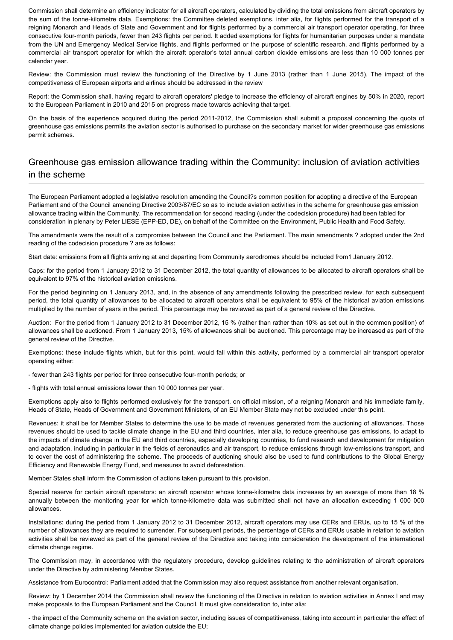Commission shall determine an efficiency indicator for all aircraft operators, calculated by dividing the total emissions from aircraft operators by the sum of the tonne-kilometre data. Exemptions: the Committee deleted exemptions, inter alia, for flights performed for the transport of a reigning Monarch and Heads of State and Government and for flights performed by a commercial air transport operator operating, for three consecutive four-month periods, fewer than 243 flights per period. It added exemptions for flights for humanitarian purposes under a mandate from the UN and Emergency Medical Service flights, and flights performed or the purpose of scientific research, and flights performed by a commercial air transport operator for which the aircraft operator's total annual carbon dioxide emissions are less than 10 000 tonnes per calendar year.

Review: the Commission must review the functioning of the Directive by 1 June 2013 (rather than 1 June 2015). The impact of the competitiveness of European airports and airlines should be addressed in the review

Report: the Commission shall, having regard to aircraft operators' pledge to increase the efficiency of aircraft engines by 50% in 2020, report to the European Parliament in 2010 and 2015 on progress made towards achieving that target.

On the basis of the experience acquired during the period 2011-2012, the Commission shall submit a proposal concerning the quota of greenhouse gas emissions permits the aviation sector is authorised to purchase on the secondary market for wider greenhouse gas emissions permit schemes.

# Greenhouse gas emission allowance trading within the Community: inclusion of aviation activities in the scheme

The European Parliament adopted a legislative resolution amending the Council?s common position for adopting a directive of the European Parliament and of the Council amending Directive 2003/87/EC so as to include aviation activities in the scheme for greenhouse gas emission allowance trading within the Community. The recommendation for second reading (under the codecision procedure) had been tabled for consideration in plenary by Peter LIESE (EPP-ED, DE), on behalf of the Committee on the Environment, Public Health and Food Safety.

The amendments were the result of a compromise between the Council and the Parliament. The main amendments ? adopted under the 2nd reading of the codecision procedure ? are as follows:

Start date: emissions from all flights arriving at and departing from Community aerodromes should be included from1 January 2012.

Caps: for the period from 1 January 2012 to 31 December 2012, the total quantity of allowances to be allocated to aircraft operators shall be equivalent to 97% of the historical aviation emissions.

For the period beginning on 1 January 2013, and, in the absence of any amendments following the prescribed review, for each subsequent period, the total quantity of allowances to be allocated to aircraft operators shall be equivalent to 95% of the historical aviation emissions multiplied by the number of years in the period. This percentage may be reviewed as part of a general review of the Directive.

Auction: For the period from 1 January 2012 to 31 December 2012, 15 % (rather than rather than 10% as set out in the common position) of allowances shall be auctioned. From 1 January 2013, 15% of allowances shall be auctioned. This percentage may be increased as part of the general review of the Directive.

Exemptions: these include flights which, but for this point, would fall within this activity, performed by a commercial air transport operator operating either:

- fewer than 243 flights per period for three consecutive four-month periods; or

- flights with total annual emissions lower than 10 000 tonnes per year.

Exemptions apply also to flights performed exclusively for the transport, on official mission, of a reigning Monarch and his immediate family, Heads of State, Heads of Government and Government Ministers, of an EU Member State may not be excluded under this point.

Revenues: it shall be for Member States to determine the use to be made of revenues generated from the auctioning of allowances. Those revenues should be used to tackle climate change in the EU and third countries, inter alia, to reduce greenhouse gas emissions, to adapt to the impacts of climate change in the EU and third countries, especially developing countries, to fund research and development for mitigation and adaptation, including in particular in the fields of aeronautics and air transport, to reduce emissions through low-emissions transport, and to cover the cost of administering the scheme. The proceeds of auctioning should also be used to fund contributions to the Global Energy Efficiency and Renewable Energy Fund, and measures to avoid deforestation.

Member States shall inform the Commission of actions taken pursuant to this provision.

Special reserve for certain aircraft operators: an aircraft operator whose tonne-kilometre data increases by an average of more than 18 % annually between the monitoring year for which tonne-kilometre data was submitted shall not have an allocation exceeding 1 000 000 allowances.

Installations: during the period from 1 January 2012 to 31 December 2012, aircraft operators may use CERs and ERUs, up to 15 % of the number of allowances they are required to surrender. For subsequent periods, the percentage of CERs and ERUs usable in relation to aviation activities shall be reviewed as part of the general review of the Directive and taking into consideration the development of the international climate change regime.

The Commission may, in accordance with the regulatory procedure, develop guidelines relating to the administration of aircraft operators under the Directive by administering Member States.

Assistance from Eurocontrol: Parliament added that the Commission may also request assistance from another relevant organisation.

Review: by 1 December 2014 the Commission shall review the functioning of the Directive in relation to aviation activities in Annex I and may make proposals to the European Parliament and the Council. It must give consideration to, inter alia:

- the impact of the Community scheme on the aviation sector, including issues of competitiveness, taking into account in particular the effect of climate change policies implemented for aviation outside the EU;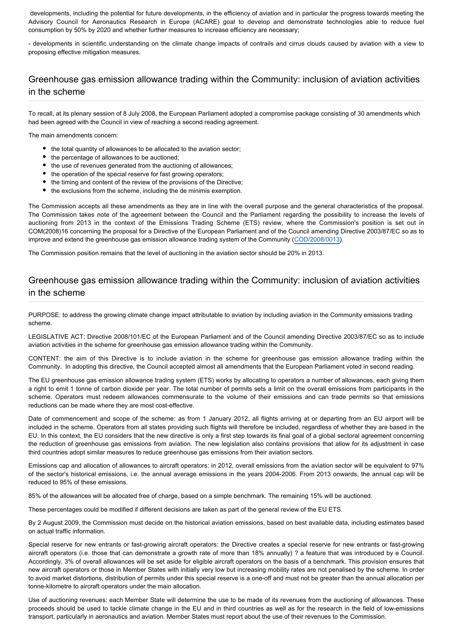developments, including the potential for future developments, in the efficiency of aviation and in particular the progress towards meeting the Advisory Council for Aeronautics Research in Europe (ACARE) goal to develop and demonstrate technologies able to reduce fuel consumption by 50% by 2020 and whether further measures to increase efficiency are necessary;

- developments in scientific understanding on the climate change impacts of contrails and cirrus clouds caused by aviation with a view to proposing effective mitigation measures.

### Greenhouse gas emission allowance trading within the Community: inclusion of aviation activities in the scheme

To recall, at its plenary session of 8 July 2008, the European Parliament adopted a compromise package consisting of 30 amendments which had been agreed with the Council in view of reaching a second reading agreement.

The main amendments concern:

- the total quantity of allowances to be allocated to the aviation sector;
- the percentage of allowances to be auctioned;
- the use of revenues generated from the auctioning of allowances;
- the operation of the special reserve for fast growing operators;
- the timing and content of the review of the provisions of the Directive;
- the exclusions from the scheme, including the de minimis exemption.

The Commission accepts all these amendments as they are in line with the overall purpose and the general characteristics of the proposal. The Commission takes note of the agreement between the Council and the Parliament regarding the possibility to increase the levels of auctioning from 2013 in the context of the Emissions Trading Scheme (ETS) review, where the Commission's position is set out in COM(2008)16 concerning the proposal for a Directive of the European Parliament and of the Council amending Directive 2003/87/EC so as to improve and extend the greenhouse gas emission allowance trading system of the Community ([COD/2008/0013\)](http://www.europarl.europa.eu/oeil/FindByProcnum.do?lang=en&procnum=COD/2008/0013).

The Commission position remains that the level of auctioning in the aviation sector should be 20% in 2013.

#### Greenhouse gas emission allowance trading within the Community: inclusion of aviation activities in the scheme

PURPOSE: to address the growing climate change impact attributable to aviation by including aviation in the Community emissions trading scheme.

LEGISLATIVE ACT: Directive 2008/101/EC of the European Parliament and of the Council amending Directive 2003/87/EC so as to include aviation activities in the scheme for greenhouse gas emission allowance trading within the Community.

CONTENT: the aim of this Directive is to include aviation in the scheme for greenhouse gas emission allowance trading within the Community. In adopting this directive, the Council accepted almost all amendments that the European Parliament voted in second reading.

The EU greenhouse gas emission allowance trading system (ETS) works by allocating to operators a number of allowances, each giving them a right to emit 1 tonne of carbon dioxide per year. The total number of permits sets a limit on the overall emissions from participants in the scheme. Operators must redeem allowances commensurate to the volume of their emissions and can trade permits so that emissions reductions can be made where they are most cost-effective.

Date of commencement and scope of the scheme: as from 1 January 2012, all flights arriving at or departing from an EU airport will be included in the scheme. Operators from all states providing such flights will therefore be included, regardless of whether they are based in the EU. In this context, the EU considers that the new directive is only a first step towards its final goal of a global sectoral agreement concerning the reduction of greenhouse gas emissions from aviation. The new legislation also contains provisions that allow for its adjustment in case third countries adopt similar measures to reduce greenhouse gas emissions from their aviation sectors.

Emissions cap and allocation of allowances to aircraft operators: in 2012, overall emissions from the aviation sector will be equivalent to 97% of the sector's historical emissions, i.e. the annual average emissions in the years 2004-2006. From 2013 onwards, the annual cap will be reduced to 95% of these emissions.

85% of the allowances will be allocated free of charge, based on a simple benchmark. The remaining 15% will be auctioned.

These percentages could be modified if different decisions are taken as part of the general review of the EU ETS.

By 2 August 2009, the Commission must decide on the historical aviation emissions, based on best available data, including estimates based on actual traffic information.

Special reserve for new entrants or fast-growing aircraft operators: the Directive creates a special reserve for new entrants or fast-growing aircraft operators (i.e. those that can demonstrate a growth rate of more than 18% annually) ? a feature that was introduced by e Council. Accordingly, 3% of overall allowances will be set aside for eligible aircraft operators on the basis of a benchmark. This provision ensures that new aircraft operators or those in Member States with initially very low but increasing mobility rates are not penalised by the scheme. In order to avoid market distortions, distribution of permits under this special reserve is a one-off and must not be greater than the annual allocation per tonne-kilometre to aircraft operators under the main allocation.

Use of auctioning revenues: each Member State will determine the use to be made of its revenues from the auctioning of allowances. These proceeds should be used to tackle climate change in the EU and in third countries as well as for the research in the field of low-emissions transport, particularly in aeronautics and aviation. Member States must report about the use of their revenues to the Commission.